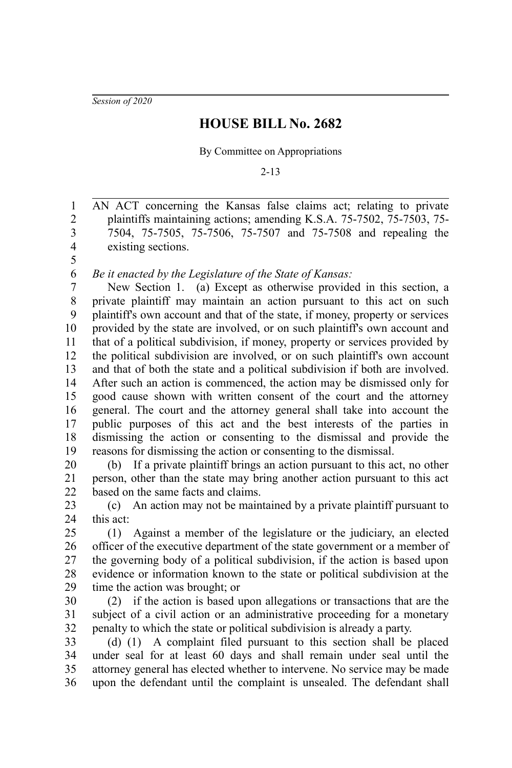*Session of 2020*

## **HOUSE BILL No. 2682**

By Committee on Appropriations

2-13

AN ACT concerning the Kansas false claims act; relating to private plaintiffs maintaining actions; amending K.S.A. 75-7502, 75-7503, 75- 7504, 75-7505, 75-7506, 75-7507 and 75-7508 and repealing the existing sections. 1 2 3 4 5

*Be it enacted by the Legislature of the State of Kansas:* 6

New Section 1. (a) Except as otherwise provided in this section, a private plaintiff may maintain an action pursuant to this act on such plaintiff's own account and that of the state, if money, property or services provided by the state are involved, or on such plaintiff's own account and that of a political subdivision, if money, property or services provided by the political subdivision are involved, or on such plaintiff's own account and that of both the state and a political subdivision if both are involved. After such an action is commenced, the action may be dismissed only for good cause shown with written consent of the court and the attorney general. The court and the attorney general shall take into account the public purposes of this act and the best interests of the parties in dismissing the action or consenting to the dismissal and provide the reasons for dismissing the action or consenting to the dismissal. 7 8 9 10 11 12 13 14 15 16 17 18 19

(b) If a private plaintiff brings an action pursuant to this act, no other person, other than the state may bring another action pursuant to this act based on the same facts and claims. 20 21 22

(c) An action may not be maintained by a private plaintiff pursuant to this act: 23 24

(1) Against a member of the legislature or the judiciary, an elected officer of the executive department of the state government or a member of the governing body of a political subdivision, if the action is based upon evidence or information known to the state or political subdivision at the time the action was brought; or 25 26 27 28 29

(2) if the action is based upon allegations or transactions that are the subject of a civil action or an administrative proceeding for a monetary penalty to which the state or political subdivision is already a party. 30 31 32

(d) (1) A complaint filed pursuant to this section shall be placed under seal for at least 60 days and shall remain under seal until the attorney general has elected whether to intervene. No service may be made upon the defendant until the complaint is unsealed. The defendant shall 33 34 35 36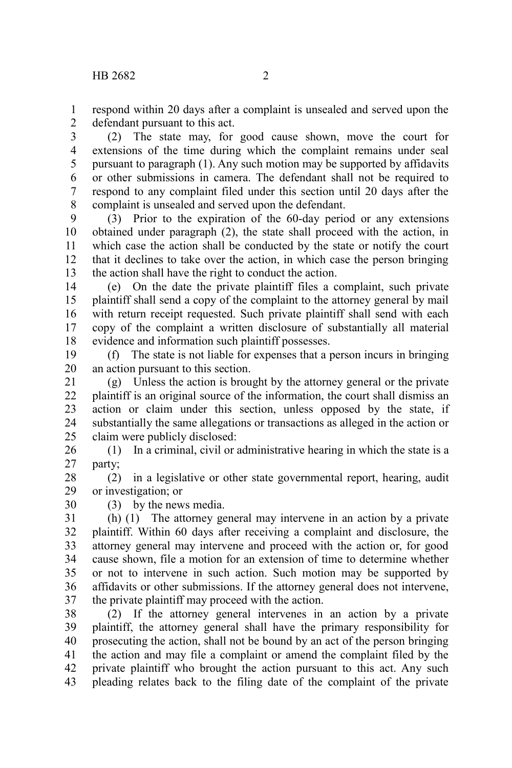respond within 20 days after a complaint is unsealed and served upon the defendant pursuant to this act. 1 2

(2) The state may, for good cause shown, move the court for extensions of the time during which the complaint remains under seal pursuant to paragraph (1). Any such motion may be supported by affidavits or other submissions in camera. The defendant shall not be required to respond to any complaint filed under this section until 20 days after the complaint is unsealed and served upon the defendant. 3 4 5 6 7 8

(3) Prior to the expiration of the 60-day period or any extensions obtained under paragraph (2), the state shall proceed with the action, in which case the action shall be conducted by the state or notify the court that it declines to take over the action, in which case the person bringing the action shall have the right to conduct the action. 9 10 11 12 13

(e) On the date the private plaintiff files a complaint, such private plaintiff shall send a copy of the complaint to the attorney general by mail with return receipt requested. Such private plaintiff shall send with each copy of the complaint a written disclosure of substantially all material evidence and information such plaintiff possesses. 14 15 16 17 18

(f) The state is not liable for expenses that a person incurs in bringing an action pursuant to this section. 19 20

(g) Unless the action is brought by the attorney general or the private plaintiff is an original source of the information, the court shall dismiss an action or claim under this section, unless opposed by the state, if substantially the same allegations or transactions as alleged in the action or claim were publicly disclosed: 21 22 23 24 25

(1) In a criminal, civil or administrative hearing in which the state is a party; 26 27

(2) in a legislative or other state governmental report, hearing, audit or investigation; or 28 29

(3) by the news media.

30

(h) (1) The attorney general may intervene in an action by a private plaintiff. Within 60 days after receiving a complaint and disclosure, the attorney general may intervene and proceed with the action or, for good cause shown, file a motion for an extension of time to determine whether or not to intervene in such action. Such motion may be supported by affidavits or other submissions. If the attorney general does not intervene, the private plaintiff may proceed with the action. 31 32 33 34 35 36 37

(2) If the attorney general intervenes in an action by a private plaintiff, the attorney general shall have the primary responsibility for prosecuting the action, shall not be bound by an act of the person bringing the action and may file a complaint or amend the complaint filed by the private plaintiff who brought the action pursuant to this act. Any such pleading relates back to the filing date of the complaint of the private 38 39 40 41 42 43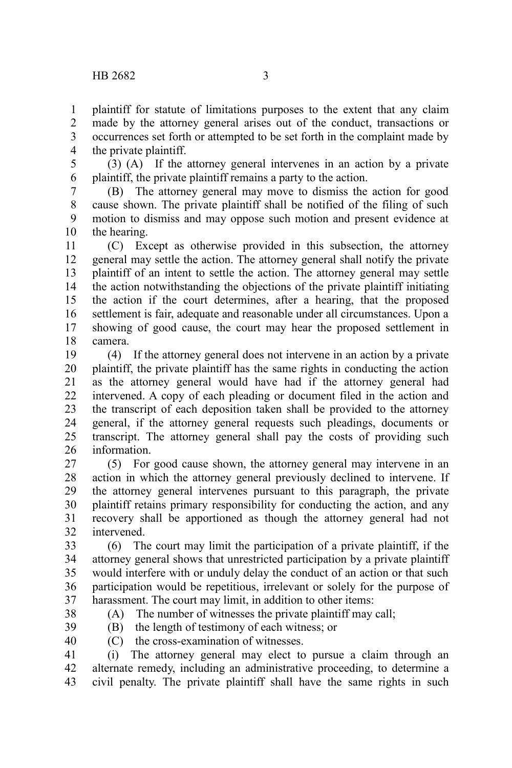plaintiff for statute of limitations purposes to the extent that any claim made by the attorney general arises out of the conduct, transactions or occurrences set forth or attempted to be set forth in the complaint made by the private plaintiff. 1 2 3 4

(3) (A) If the attorney general intervenes in an action by a private plaintiff, the private plaintiff remains a party to the action. 5 6

(B) The attorney general may move to dismiss the action for good cause shown. The private plaintiff shall be notified of the filing of such motion to dismiss and may oppose such motion and present evidence at the hearing. 7 8 9 10

(C) Except as otherwise provided in this subsection, the attorney general may settle the action. The attorney general shall notify the private plaintiff of an intent to settle the action. The attorney general may settle the action notwithstanding the objections of the private plaintiff initiating the action if the court determines, after a hearing, that the proposed settlement is fair, adequate and reasonable under all circumstances. Upon a showing of good cause, the court may hear the proposed settlement in camera. 11 12 13 14 15 16 17 18

(4) If the attorney general does not intervene in an action by a private plaintiff, the private plaintiff has the same rights in conducting the action as the attorney general would have had if the attorney general had intervened. A copy of each pleading or document filed in the action and the transcript of each deposition taken shall be provided to the attorney general, if the attorney general requests such pleadings, documents or transcript. The attorney general shall pay the costs of providing such information. 19 20 21 22 23 24 25 26

(5) For good cause shown, the attorney general may intervene in an action in which the attorney general previously declined to intervene. If the attorney general intervenes pursuant to this paragraph, the private plaintiff retains primary responsibility for conducting the action, and any recovery shall be apportioned as though the attorney general had not intervened. 27 28 29 30 31 32

(6) The court may limit the participation of a private plaintiff, if the attorney general shows that unrestricted participation by a private plaintiff would interfere with or unduly delay the conduct of an action or that such participation would be repetitious, irrelevant or solely for the purpose of harassment. The court may limit, in addition to other items: 33 34 35 36 37

38

(A) The number of witnesses the private plaintiff may call;

39

(B) the length of testimony of each witness; or

40

(C) the cross-examination of witnesses.

(i) The attorney general may elect to pursue a claim through an alternate remedy, including an administrative proceeding, to determine a civil penalty. The private plaintiff shall have the same rights in such 41 42 43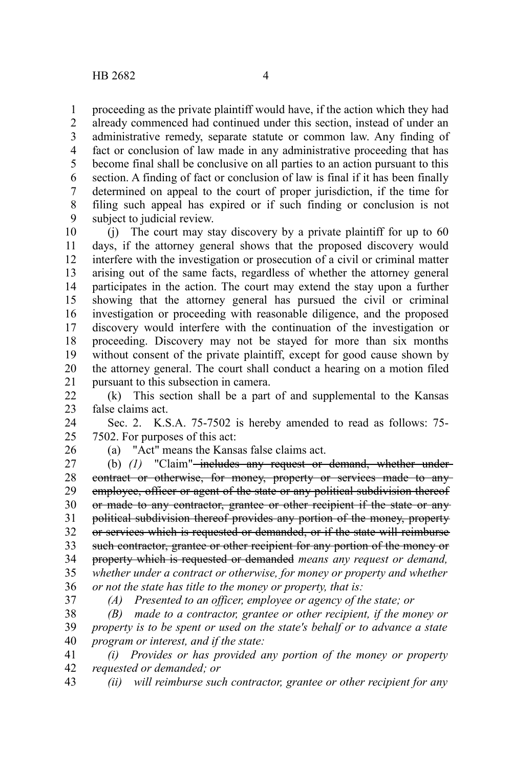proceeding as the private plaintiff would have, if the action which they had already commenced had continued under this section, instead of under an administrative remedy, separate statute or common law. Any finding of fact or conclusion of law made in any administrative proceeding that has become final shall be conclusive on all parties to an action pursuant to this section. A finding of fact or conclusion of law is final if it has been finally determined on appeal to the court of proper jurisdiction, if the time for filing such appeal has expired or if such finding or conclusion is not subject to judicial review. 1 2 3 4 5 6 7 8 9

(j) The court may stay discovery by a private plaintiff for up to 60 days, if the attorney general shows that the proposed discovery would interfere with the investigation or prosecution of a civil or criminal matter arising out of the same facts, regardless of whether the attorney general participates in the action. The court may extend the stay upon a further showing that the attorney general has pursued the civil or criminal investigation or proceeding with reasonable diligence, and the proposed discovery would interfere with the continuation of the investigation or proceeding. Discovery may not be stayed for more than six months without consent of the private plaintiff, except for good cause shown by the attorney general. The court shall conduct a hearing on a motion filed pursuant to this subsection in camera. 10 11 12 13 14 15 16 17 18 19 20 21

(k) This section shall be a part of and supplemental to the Kansas false claims act. 22 23

Sec. 2. K.S.A. 75-7502 is hereby amended to read as follows: 75- 7502. For purposes of this act: 24 25

26

(a) "Act" means the Kansas false claims act.

(b) (1) "Claim"<del>-includes any request or demand, whether under-</del> contract or otherwise, for money, property or services made to any employee, officer or agent of the state or any political subdivision thereof or made to any contractor, grantee or other recipient if the state or any political subdivision thereof provides any portion of the money, property or services which is requested or demanded, or if the state will reimburse such contractor, grantee or other recipient for any portion of the money or property which is requested or demanded *means any request or demand, whether under a contract or otherwise, for money or property and whether or not the state has title to the money or property, that is:* 27 28 29 30 31 32 33 34 35 36

37

*(A) Presented to an officer, employee or agency of the state; or*

*(B) made to a contractor, grantee or other recipient, if the money or property is to be spent or used on the state's behalf or to advance a state program or interest, and if the state:* 38 39 40

*(i) Provides or has provided any portion of the money or property requested or demanded; or* 41 42

*(ii) will reimburse such contractor, grantee or other recipient for any* 43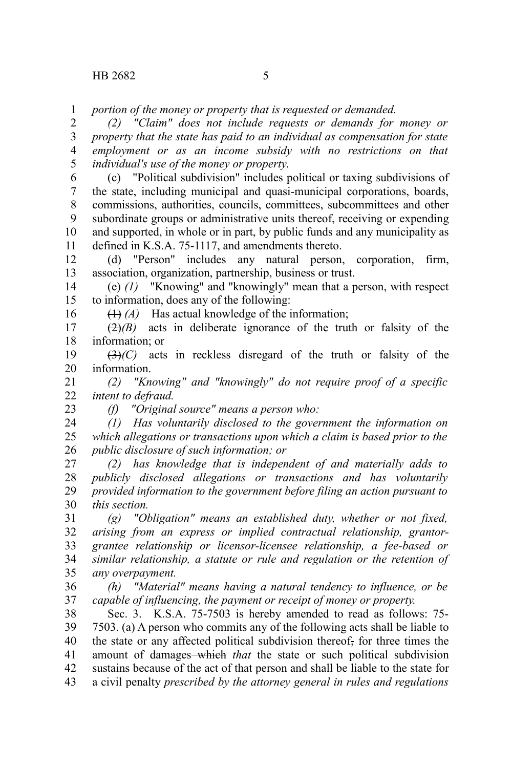*portion of the money or property that is requested or demanded.* 1

*(2) "Claim" does not include requests or demands for money or property that the state has paid to an individual as compensation for state employment or as an income subsidy with no restrictions on that individual's use of the money or property*. 2 3 4 5

(c) "Political subdivision" includes political or taxing subdivisions of the state, including municipal and quasi-municipal corporations, boards, commissions, authorities, councils, committees, subcommittees and other subordinate groups or administrative units thereof, receiving or expending and supported, in whole or in part, by public funds and any municipality as defined in K.S.A. 75-1117, and amendments thereto. 6 7 8 9 10 11

(d) "Person" includes any natural person, corporation, firm, association, organization, partnership, business or trust. 12 13

(e) *(1)* "Knowing" and "knowingly" mean that a person, with respect to information, does any of the following: 14 15

(1) *(A)* Has actual knowledge of the information;

 $(2)(B)$  acts in deliberate ignorance of the truth or falsity of the information; or 17 18

(3)*(C)* acts in reckless disregard of the truth or falsity of the information. 19 20

*(2) "Knowing" and "knowingly" do not require proof of a specific intent to defraud.* 21 22

23

16

*(f) "Original source" means a person who:*

*(1) Has voluntarily disclosed to the government the information on which allegations or transactions upon which a claim is based prior to the public disclosure of such information; or* 24 25 26

*(2) has knowledge that is independent of and materially adds to publicly disclosed allegations or transactions and has voluntarily provided information to the government before filing an action pursuant to this section.* 27 28 29 30

*(g) "Obligation" means an established duty, whether or not fixed, arising from an express or implied contractual relationship, grantorgrantee relationship or licensor-licensee relationship, a fee-based or similar relationship, a statute or rule and regulation or the retention of any overpayment.* 31 32 33 34 35

*(h) "Material" means having a natural tendency to influence, or be capable of influencing, the payment or receipt of money or property.* 36 37

Sec. 3. K.S.A. 75-7503 is hereby amended to read as follows: 75- 7503. (a) A person who commits any of the following acts shall be liable to the state or any affected political subdivision thereof, for three times the amount of damages-which that the state or such political subdivision sustains because of the act of that person and shall be liable to the state for a civil penalty *prescribed by the attorney general in rules and regulations* 38 39 40 41 42 43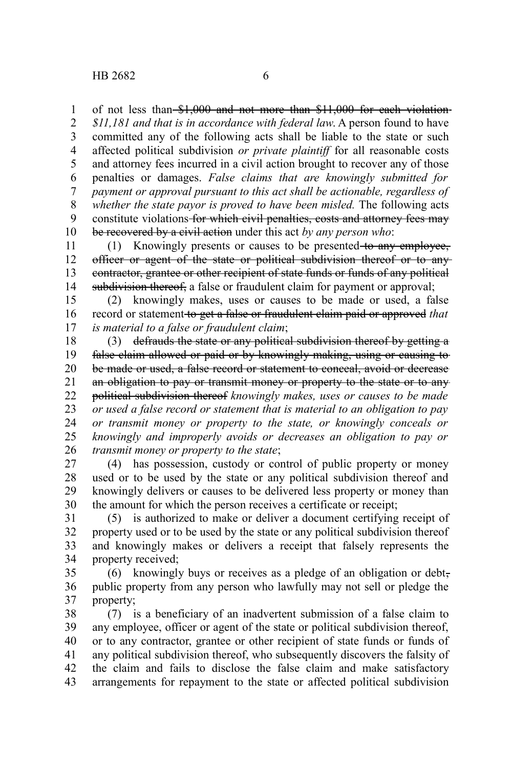of not less than \$1,000 and not more than \$11,000 for each violation-1

*\$11,181 and that is in accordance with federal law*. A person found to have committed any of the following acts shall be liable to the state or such affected political subdivision *or private plaintiff* for all reasonable costs and attorney fees incurred in a civil action brought to recover any of those penalties or damages. *False claims that are knowingly submitted for payment or approval pursuant to this act shall be actionable, regardless of* whether the state payor is proved to have been misled. The following acts constitute violations for which civil penalties, costs and attorney fees may be recovered by a civil action under this act *by any person who*: 2 3 4 5 6 7 8 9 10

(1) Knowingly presents or causes to be presented to any employee, officer or agent of the state or political subdivision thereof or to any contractor, grantee or other recipient of state funds or funds of any political subdivision thereof, a false or fraudulent claim for payment or approval; 11 12 13 14

(2) knowingly makes, uses or causes to be made or used, a false record or statement to get a false or fraudulent claim paid or approved *that is material to a false or fraudulent claim*; 15 16 17

(3) defrauds the state or any political subdivision thereof by getting a false claim allowed or paid or by knowingly making, using or causing to be made or used, a false record or statement to conceal, avoid or decrease an obligation to pay or transmit money or property to the state or to any political subdivision thereof *knowingly makes, uses or causes to be made or used a false record or statement that is material to an obligation to pay or transmit money or property to the state, or knowingly conceals or knowingly and improperly avoids or decreases an obligation to pay or transmit money or property to the state*; 18 19 20 21 22 23 24 25 26

(4) has possession, custody or control of public property or money used or to be used by the state or any political subdivision thereof and knowingly delivers or causes to be delivered less property or money than the amount for which the person receives a certificate or receipt; 27 28 29 30

(5) is authorized to make or deliver a document certifying receipt of property used or to be used by the state or any political subdivision thereof and knowingly makes or delivers a receipt that falsely represents the property received; 31 32 33 34

(6) knowingly buys or receives as a pledge of an obligation or debt, public property from any person who lawfully may not sell or pledge the property; 35 36 37

(7) is a beneficiary of an inadvertent submission of a false claim to any employee, officer or agent of the state or political subdivision thereof, or to any contractor, grantee or other recipient of state funds or funds of any political subdivision thereof, who subsequently discovers the falsity of the claim and fails to disclose the false claim and make satisfactory arrangements for repayment to the state or affected political subdivision 38 39 40 41 42 43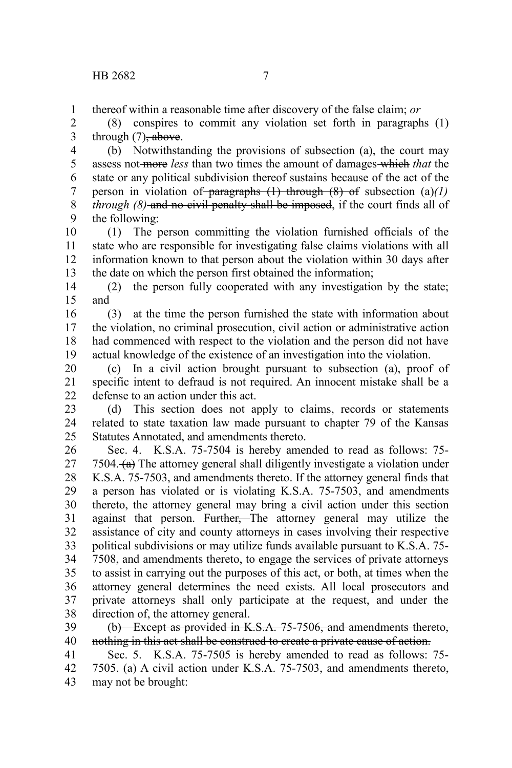thereof within a reasonable time after discovery of the false claim; *or* 1

(8) conspires to commit any violation set forth in paragraphs (1) through  $(7)$ , above. 2 3

(b) Notwithstanding the provisions of subsection (a), the court may assess not more *less* than two times the amount of damages which *that* the state or any political subdivision thereof sustains because of the act of the person in violation of paragraphs  $(1)$  through  $(8)$  of subsection  $(a)/1$ *through (8)* and no civil penalty shall be imposed, if the court finds all of the following: 4 5 6 7 8 9

(1) The person committing the violation furnished officials of the state who are responsible for investigating false claims violations with all information known to that person about the violation within 30 days after the date on which the person first obtained the information; 10 11 12 13

(2) the person fully cooperated with any investigation by the state; and 14 15

(3) at the time the person furnished the state with information about the violation, no criminal prosecution, civil action or administrative action had commenced with respect to the violation and the person did not have actual knowledge of the existence of an investigation into the violation. 16 17 18 19

(c) In a civil action brought pursuant to subsection (a), proof of specific intent to defraud is not required. An innocent mistake shall be a defense to an action under this act. 20 21  $22$ 

(d) This section does not apply to claims, records or statements related to state taxation law made pursuant to chapter 79 of the Kansas Statutes Annotated, and amendments thereto. 23 24 25

Sec. 4. K.S.A. 75-7504 is hereby amended to read as follows: 75- 7504.  $(a)$  The attorney general shall diligently investigate a violation under K.S.A. 75-7503, and amendments thereto. If the attorney general finds that a person has violated or is violating K.S.A. 75-7503, and amendments thereto, the attorney general may bring a civil action under this section against that person. Further, The attorney general may utilize the assistance of city and county attorneys in cases involving their respective political subdivisions or may utilize funds available pursuant to K.S.A. 75- 7508, and amendments thereto, to engage the services of private attorneys to assist in carrying out the purposes of this act, or both, at times when the attorney general determines the need exists. All local prosecutors and private attorneys shall only participate at the request, and under the direction of, the attorney general. 26 27 28 29 30 31 32 33 34 35 36 37 38

(b) Except as provided in K.S.A. 75-7506, and amendments thereto, nothing in this act shall be construed to create a private cause of action. 39 40

Sec. 5. K.S.A. 75-7505 is hereby amended to read as follows: 75- 7505. (a) A civil action under K.S.A. 75-7503, and amendments thereto, may not be brought: 41 42 43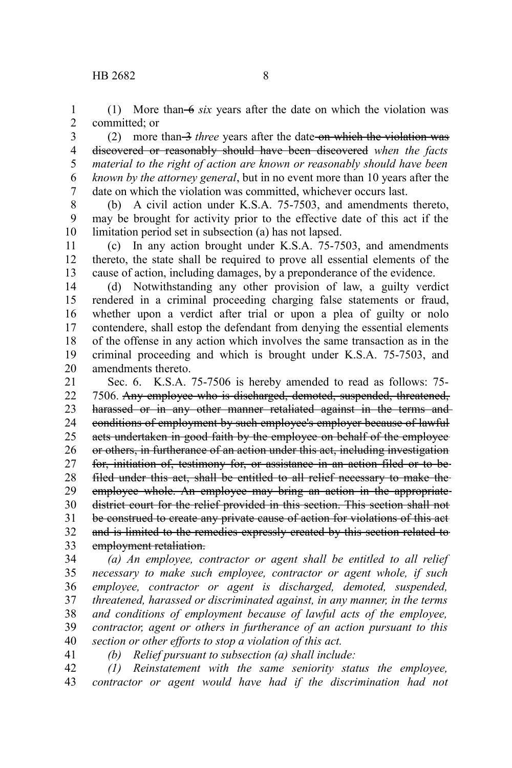(1) More than  $-6$  *six* years after the date on which the violation was committed; or 1 2

(2) more than 3 *three* years after the date on which the violation was discovered or reasonably should have been discovered *when the facts material to the right of action are known or reasonably should have been known by the attorney general*, but in no event more than 10 years after the date on which the violation was committed, whichever occurs last. 3 4 5 6 7

(b) A civil action under K.S.A. 75-7503, and amendments thereto, may be brought for activity prior to the effective date of this act if the limitation period set in subsection (a) has not lapsed. 8 9 10

(c) In any action brought under K.S.A. 75-7503, and amendments thereto, the state shall be required to prove all essential elements of the cause of action, including damages, by a preponderance of the evidence. 11 12 13

(d) Notwithstanding any other provision of law, a guilty verdict rendered in a criminal proceeding charging false statements or fraud, whether upon a verdict after trial or upon a plea of guilty or nolo contendere, shall estop the defendant from denying the essential elements of the offense in any action which involves the same transaction as in the criminal proceeding and which is brought under K.S.A. 75-7503, and amendments thereto. 14 15 16 17 18 19 20

Sec. 6. K.S.A. 75-7506 is hereby amended to read as follows: 75- 7506. Any employee who is discharged, demoted, suspended, threatened, harassed or in any other manner retaliated against in the terms and conditions of employment by such employee's employer because of lawful acts undertaken in good faith by the employee on behalf of the employee or others, in furtherance of an action under this act, including investigation for, initiation of, testimony for, or assistance in an action filed or to be filed under this act, shall be entitled to all relief necessary to make the employee whole. An employee may bring an action in the appropriatedistrict court for the relief provided in this section. This section shall not be construed to create any private cause of action for violations of this act and is limited to the remedies expressly created by this section related to employment retaliation. 21 22 23 24 25 26 27 28 29 30 31 32 33

*(a) An employee, contractor or agent shall be entitled to all relief necessary to make such employee, contractor or agent whole, if such employee, contractor or agent is discharged, demoted, suspended, threatened, harassed or discriminated against, in any manner, in the terms and conditions of employment because of lawful acts of the employee, contractor, agent or others in furtherance of an action pursuant to this section or other efforts to stop a violation of this act.* 34 35 36 37 38 39 40 41

*(b) Relief pursuant to subsection (a) shall include:*

*(1) Reinstatement with the same seniority status the employee, contractor or agent would have had if the discrimination had not* 42 43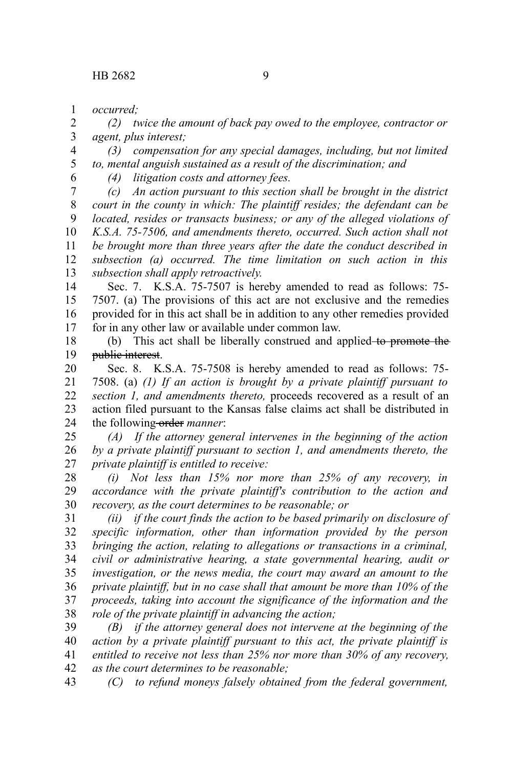*occurred;* 1

*(2) twice the amount of back pay owed to the employee, contractor or agent, plus interest;* 2 3

*(3) compensation for any special damages, including, but not limited to, mental anguish sustained as a result of the discrimination; and* 4 5 6

*(4) litigation costs and attorney fees.*

*(c) An action pursuant to this section shall be brought in the district court in the county in which: The plaintiff resides; the defendant can be located, resides or transacts business; or any of the alleged violations of K.S.A. 75-7506, and amendments thereto, occurred. Such action shall not be brought more than three years after the date the conduct described in subsection (a) occurred. The time limitation on such action in this subsection shall apply retroactively.* 7 8 9 10 11 12 13

Sec. 7. K.S.A. 75-7507 is hereby amended to read as follows: 75- 7507. (a) The provisions of this act are not exclusive and the remedies provided for in this act shall be in addition to any other remedies provided for in any other law or available under common law. 14 15 16 17

(b) This act shall be liberally construed and applied to promote the public interest. 18 19

Sec. 8. K.S.A. 75-7508 is hereby amended to read as follows: 75- 7508. (a) *(1) If an action is brought by a private plaintiff pursuant to section 1, and amendments thereto,* proceeds recovered as a result of an action filed pursuant to the Kansas false claims act shall be distributed in the following-order *manner*: 20 21 22 23 24

*(A) If the attorney general intervenes in the beginning of the action by a private plaintiff pursuant to section 1, and amendments thereto, the private plaintiff is entitled to receive:* 25 26 27

*(i) Not less than 15% nor more than 25% of any recovery, in accordance with the private plaintiff's contribution to the action and recovery, as the court determines to be reasonable; or* 28 29 30

*(ii) if the court finds the action to be based primarily on disclosure of specific information, other than information provided by the person bringing the action, relating to allegations or transactions in a criminal, civil or administrative hearing, a state governmental hearing, audit or investigation, or the news media, the court may award an amount to the private plaintiff, but in no case shall that amount be more than 10% of the proceeds, taking into account the significance of the information and the role of the private plaintiff in advancing the action;* 31 32 33 34 35 36 37 38

*(B) if the attorney general does not intervene at the beginning of the action by a private plaintiff pursuant to this act, the private plaintiff is entitled to receive not less than 25% nor more than 30% of any recovery, as the court determines to be reasonable;* 39 40 41 42

*(C) to refund moneys falsely obtained from the federal government,* 43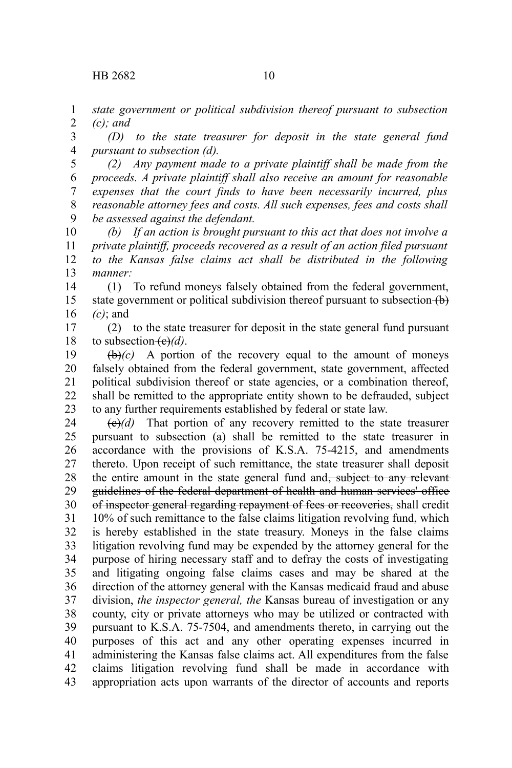*state government or political subdivision thereof pursuant to subsection (c); and* 1 2

*(D) to the state treasurer for deposit in the state general fund pursuant to subsection (d).* 3 4

*(2) Any payment made to a private plaintiff shall be made from the proceeds. A private plaintiff shall also receive an amount for reasonable expenses that the court finds to have been necessarily incurred, plus reasonable attorney fees and costs. All such expenses, fees and costs shall be assessed against the defendant.* 5 6 7 8 9

*(b) If an action is brought pursuant to this act that does not involve a private plaintiff, proceeds recovered as a result of an action filed pursuant to the Kansas false claims act shall be distributed in the following manner:* 10 11 12 13

(1) To refund moneys falsely obtained from the federal government, state government or political subdivision thereof pursuant to subsection (b) *(c)*; and 14 15 16

(2) to the state treasurer for deposit in the state general fund pursuant to subsection  $(e)(d)$ . 17 18

 $(\theta)$  (c) A portion of the recovery equal to the amount of moneys falsely obtained from the federal government, state government, affected political subdivision thereof or state agencies, or a combination thereof, shall be remitted to the appropriate entity shown to be defrauded, subject to any further requirements established by federal or state law. 19 20 21 22 23

 $\left(\frac{e}{e}\right)$  That portion of any recovery remitted to the state treasurer pursuant to subsection (a) shall be remitted to the state treasurer in accordance with the provisions of K.S.A. 75-4215, and amendments thereto. Upon receipt of such remittance, the state treasurer shall deposit the entire amount in the state general fund and<del>, subject to any relevant</del> guidelines of the federal department of health and human services' office of inspector general regarding repayment of fees or recoveries, shall credit 10% of such remittance to the false claims litigation revolving fund, which is hereby established in the state treasury. Moneys in the false claims litigation revolving fund may be expended by the attorney general for the purpose of hiring necessary staff and to defray the costs of investigating and litigating ongoing false claims cases and may be shared at the direction of the attorney general with the Kansas medicaid fraud and abuse division, *the inspector general, the* Kansas bureau of investigation or any county, city or private attorneys who may be utilized or contracted with pursuant to K.S.A. 75-7504, and amendments thereto, in carrying out the purposes of this act and any other operating expenses incurred in administering the Kansas false claims act. All expenditures from the false claims litigation revolving fund shall be made in accordance with appropriation acts upon warrants of the director of accounts and reports 24 25 26 27 28 29 30 31 32 33 34 35 36 37 38 39 40 41 42 43